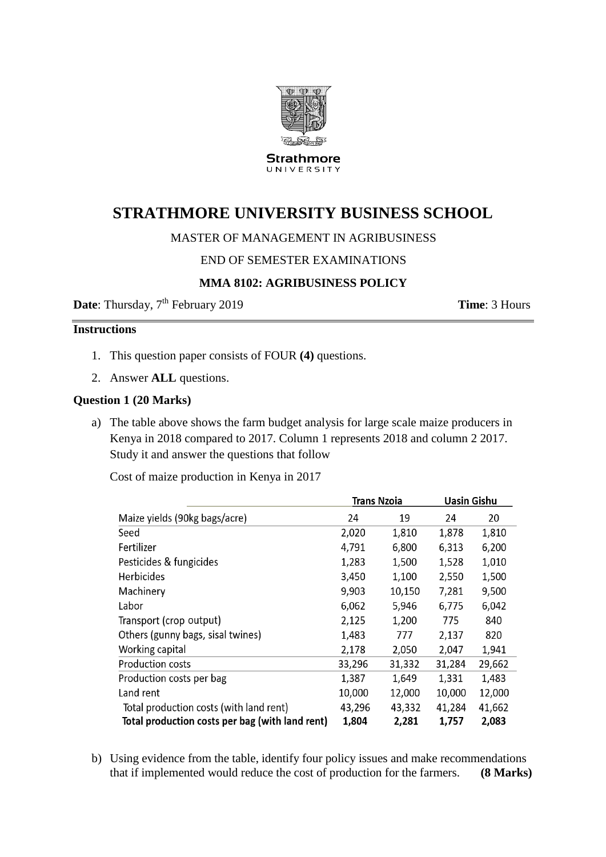

**Strathmore** UNIVERSITY

# **STRATHMORE UNIVERSITY BUSINESS SCHOOL**

## MASTER OF MANAGEMENT IN AGRIBUSINESS

## END OF SEMESTER EXAMINATIONS

## **MMA 8102: AGRIBUSINESS POLICY**

**Date**: Thursday, 7<sup>th</sup> February 2019 **Time**: 3 Hours

 $\overline{a}$   $\overline{a}$   $\overline{a}$   $\overline{a}$   $\overline{a}$   $\overline{a}$   $\overline{a}$   $\overline{a}$   $\overline{a}$   $\overline{a}$   $\overline{a}$   $\overline{a}$   $\overline{a}$   $\overline{a}$   $\overline{a}$   $\overline{a}$   $\overline{a}$   $\overline{a}$   $\overline{a}$   $\overline{a}$   $\overline{a}$   $\overline{a}$   $\overline{a}$   $\overline{a}$   $\overline{$ 

## **Instructions**

- 1. This question paper consists of FOUR **(4)** questions.
- 2. Answer **ALL** questions.

#### **Question 1 (20 Marks)**

a) The table above shows the farm budget analysis for large scale maize producers in Kenya in 2018 compared to 2017. Column 1 represents 2018 and column 2 2017. Study it and answer the questions that follow

Cost of maize production in Kenya in 2017

|                                                 | Irans Nzoia |        | Uasin Gishu |        |
|-------------------------------------------------|-------------|--------|-------------|--------|
| Maize yields (90kg bags/acre)                   | 24          | 19     | 24          | 20     |
| Seed                                            | 2,020       | 1,810  | 1,878       | 1,810  |
| Fertilizer                                      | 4,791       | 6,800  | 6,313       | 6,200  |
| Pesticides & fungicides                         | 1,283       | 1,500  | 1,528       | 1,010  |
| <b>Herbicides</b>                               | 3,450       | 1,100  | 2,550       | 1,500  |
| Machinery                                       | 9,903       | 10,150 | 7,281       | 9,500  |
| Labor                                           | 6,062       | 5,946  | 6,775       | 6,042  |
| Transport (crop output)                         | 2,125       | 1,200  | 775         | 840    |
| Others (gunny bags, sisal twines)               | 1,483       | 777    | 2,137       | 820    |
| Working capital                                 | 2,178       | 2,050  | 2,047       | 1,941  |
| <b>Production costs</b>                         | 33,296      | 31,332 | 31,284      | 29,662 |
| Production costs per bag                        | 1,387       | 1,649  | 1,331       | 1,483  |
| Land rent                                       | 10,000      | 12,000 | 10,000      | 12,000 |
| Total production costs (with land rent)         | 43,296      | 43,332 | 41,284      | 41,662 |
| Total production costs per bag (with land rent) | 1,804       | 2,281  | 1,757       | 2,083  |

 $\overline{a}$ .

b) Using evidence from the table, identify four policy issues and make recommendations that if implemented would reduce the cost of production for the farmers. **(8 Marks)**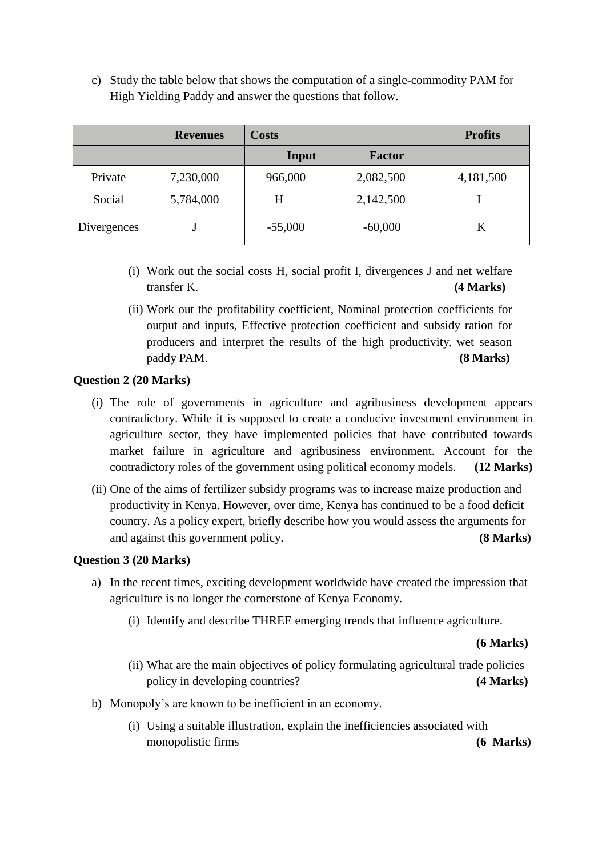c) Study the table below that shows the computation of a single-commodity PAM for High Yielding Paddy and answer the questions that follow.

|             | <b>Revenues</b> | <b>Costs</b> | <b>Profits</b> |           |
|-------------|-----------------|--------------|----------------|-----------|
|             |                 | Input        | <b>Factor</b>  |           |
| Private     | 7,230,000       | 966,000      | 2,082,500      | 4,181,500 |
| Social      | 5,784,000       | Н            | 2,142,500      |           |
| Divergences |                 | $-55,000$    | $-60,000$      | K         |

- (i) Work out the social costs H, social profit I, divergences J and net welfare transfer K. **(4 Marks)**
- (ii) Work out the profitability coefficient, Nominal protection coefficients for output and inputs, Effective protection coefficient and subsidy ration for producers and interpret the results of the high productivity, wet season paddy PAM. **(8 Marks)**

#### **Question 2 (20 Marks)**

- (i) The role of governments in agriculture and agribusiness development appears contradictory. While it is supposed to create a conducive investment environment in agriculture sector, they have implemented policies that have contributed towards market failure in agriculture and agribusiness environment. Account for the contradictory roles of the government using political economy models. **(12 Marks)**
- (ii) One of the aims of fertilizer subsidy programs was to increase maize production and productivity in Kenya. However, over time, Kenya has continued to be a food deficit country. As a policy expert, briefly describe how you would assess the arguments for and against this government policy. **(8 Marks)**

#### **Question 3 (20 Marks)**

- a) In the recent times, exciting development worldwide have created the impression that agriculture is no longer the cornerstone of Kenya Economy.
	- (i) Identify and describe THREE emerging trends that influence agriculture.

**(6 Marks)**

- (ii) What are the main objectives of policy formulating agricultural trade policies policy in developing countries? **(4 Marks)**
- b) Monopoly's are known to be inefficient in an economy.
	- (i) Using a suitable illustration, explain the inefficiencies associated with monopolistic firms **(6 Marks)**